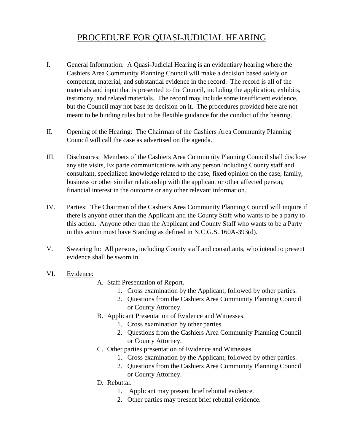## PROCEDURE FOR QUASI-JUDICIAL HEARING

- I. General Information: A Quasi-Judicial Hearing is an evidentiary hearing where the Cashiers Area Community Planning Council will make a decision based solely on competent, material, and substantial evidence in the record. The record is all of the materials and input that is presented to the Council, including the application, exhibits, testimony, and related materials. The record may include some insufficient evidence, but the Council may not base its decision on it. The procedures provided here are not meant to be binding rules but to be flexible guidance for the conduct of the hearing.
- II. Opening of the Hearing: The Chairman of the Cashiers Area Community Planning Council will call the case as advertised on the agenda.
- III. Disclosures: Members of the Cashiers Area Community Planning Council shall disclose any site visits, Ex parte communications with any person including County staff and consultant, specialized knowledge related to the case, fixed opinion on the case, family, business or other similar relationship with the applicant or other affected person, financial interest in the outcome or any other relevant information.
- IV. Parties: The Chairman of the Cashiers Area Community Planning Council will inquire if there is anyone other than the Applicant and the County Staff who wants to be a party to this action. Anyone other than the Applicant and County Staff who wants to be a Party in this action must have Standing as defined in N.C.G.S. 160A-393(d).
- V. Swearing In: All persons, including County staff and consultants, who intend to present evidence shall be sworn in.
- VI. Evidence:
- A. Staff Presentation of Report.
	- 1. Cross examination by the Applicant, followed by other parties.
	- 2. Questions from the Cashiers Area Community Planning Council or County Attorney.
- B. Applicant Presentation of Evidence and Witnesses.
	- 1. Cross examination by other parties.
	- 2. Questions from the Cashiers Area Community Planning Council or County Attorney.
- C. Other parties presentation of Evidence and Witnesses.
	- 1. Cross examination by the Applicant, followed by other parties.
	- 2. Questions from the Cashiers Area Community Planning Council or County Attorney.
- D. Rebuttal.
	- 1. Applicant may present brief rebuttal evidence.
	- 2. Other parties may present brief rebuttal evidence.